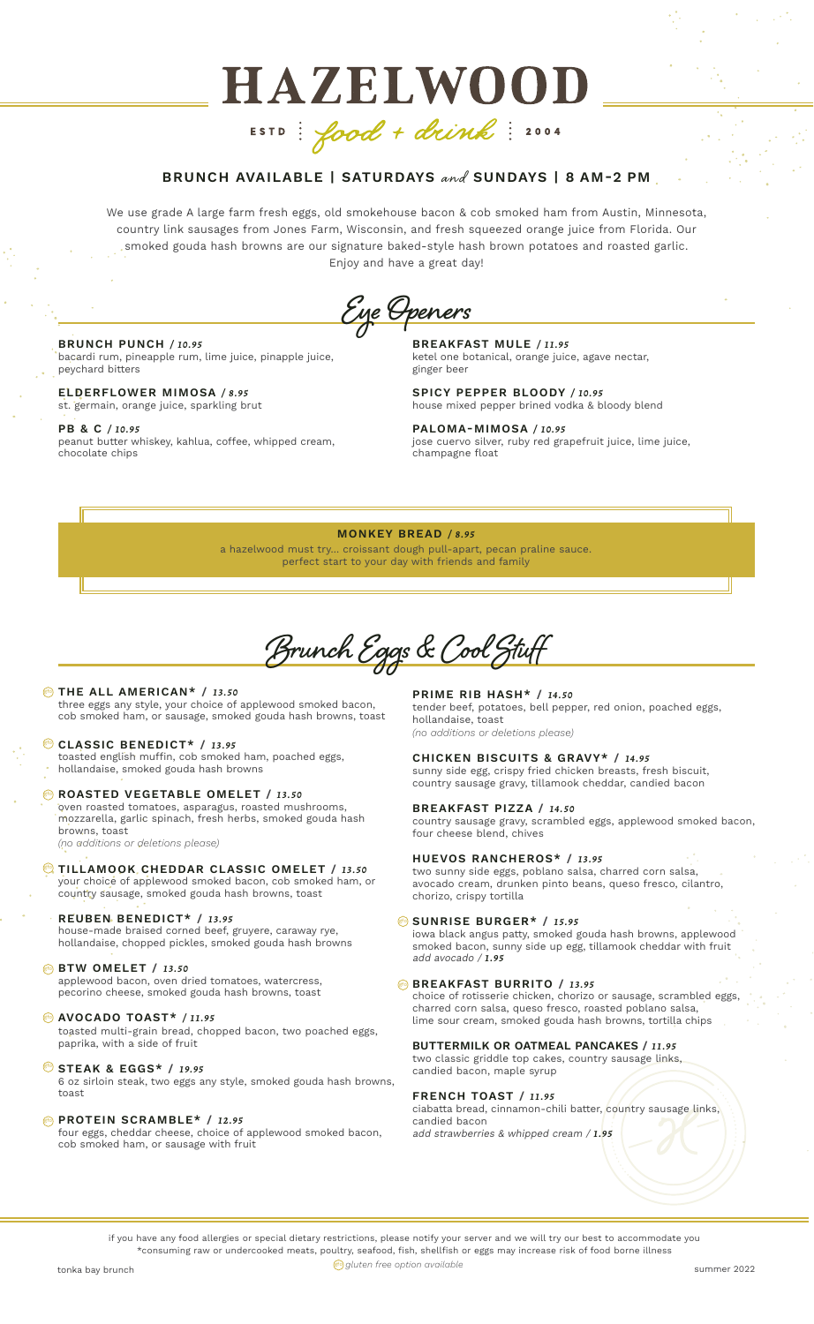# **HAZELWOOD** ESTD: food + drink: 2004

# BRUNCH AVAILABLE | SATURDAYS and SUNDAYS | 8 AM-2 PM

We use grade A large farm fresh eggs, old smokehouse bacon & cob smoked ham from Austin, Minnesota, country link sausages from Jones Farm, Wisconsin, and fresh squeezed orange juice from Florida. Our smoked gouda hash browns are our signature baked-style hash brown potatoes and roasted garlic. Enjoy and have a great day!

**Eye Openers**

#### BRUNCH PUNCH */ 10.95* bacardi rum, pineapple rum, lime juice, pinapple juice,

peychard bitters ELDERFLOWER MIMOSA */ 8.95*

st. germain, orange juice, sparkling brut

# PB & C */ 10.95*

peanut butter whiskey, kahlua, coffee, whipped cream, chocolate chips

BREAKFAST MULE */ 11.95* ketel one botanical, orange juice, agave nectar, ginger beer

SPICY PEPPER BLOODY */ 10.95* house mixed pepper brined vodka & bloody blend

PALOMA-MIMOSA */ 10.95* jose cuervo silver, ruby red grapefruit juice, lime juice, champagne float

#### MONKEY BREAD */ 8.95*

a hazelwood must try... croissant dough pull-apart, pecan praline sauce. perfect start to your day with friends and family

**Brunch Eggs & Cool Stuff**

# **DE THE ALL AMERICAN\*** / 13.50 three eggs any style, your choice of applewood smoked bacon,

cob smoked ham, or sausage, smoked gouda hash browns, toast

#### CLASSIC BENEDICT\* / *13.95* gfo

toasted english muffin, cob smoked ham, poached eggs, hollandaise, smoked gouda hash browns

**B** ROASTED VEGETABLE OMELET / 13.50 oven roasted tomatoes, asparagus, roasted mushrooms,

mozzarella, garlic spinach, fresh herbs, smoked gouda hash browns, toast *(no additions or deletions please)*

**WTILLAMOOK CHEDDAR CLASSIC OMELET / 13.50** your choice of applewood smoked bacon, cob smoked ham, or country sausage, smoked gouda hash browns, toast

#### REUBEN BENEDICT\* / *13.95*

house-made braised corned beef, gruyere, caraway rye, hollandaise, chopped pickles, smoked gouda hash browns

# BTW OMELET / *13.50* gfo

applewood bacon, oven dried tomatoes, watercress, pecorino cheese, smoked gouda hash browns, toast

# AVOCADO TOAST\* */ 11.95* gfo

toasted multi-grain bread, chopped bacon, two poached eggs, paprika, with a side of fruit

**STEAK & EGGS\* / 19.95** 

6 oz sirloin steak, two eggs any style, smoked gouda hash browns, toast

# **@ PROTEIN SCRAMBLE\* / 12.95**

four eggs, cheddar cheese, choice of applewood smoked bacon, cob smoked ham, or sausage with fruit

PRIME RIB HASH\* / *14.50* tender beef, potatoes, bell pepper, red onion, poached eggs, hollandaise, toast *(no additions or deletions please)*

CHICKEN BISCUITS & GRAVY\* / *14.95*

sunny side egg, crispy fried chicken breasts, fresh biscuit, country sausage gravy, tillamook cheddar, candied bacon

#### BREAKFAST PIZZA / *14.50*

country sausage gravy, scrambled eggs, applewood smoked bacon, four cheese blend, chives

#### HUEVOS RANCHEROS\* / *13.95*

two sunny side eggs, poblano salsa, charred corn salsa, avocado cream, drunken pinto beans, queso fresco, cilantro, chorizo, crispy tortilla

# **SUNRISE BURGER\* / 15.95**

iowa black angus patty, smoked gouda hash browns, applewood smoked bacon, sunny side up egg, tillamook cheddar with fruit add avocado / *1.95*

#### **© BREAKFAST BURRITO / 13.95**

choice of rotisserie chicken, chorizo or sausage, scrambled eggs, charred corn salsa, queso fresco, roasted poblano salsa, lime sour cream, smoked gouda hash browns, tortilla chips

#### BUTTERMILK OR OATMEAL PANCAKES / *11.95* two classic griddle top cakes, country sausage links, candied bacon, maple syrup

FRENCH TOAST / *11.95* ciabatta bread, cinnamon-chili batter, country sausage links, candied bacon add strawberries & whipped cream / *1.95*

if you have any food allergies or special dietary restrictions, please notify your server and we will try our best to accommodate you \*consuming raw or undercooked meats, poultry, seafood, fish, shellfish or eggs may increase risk of food borne illness